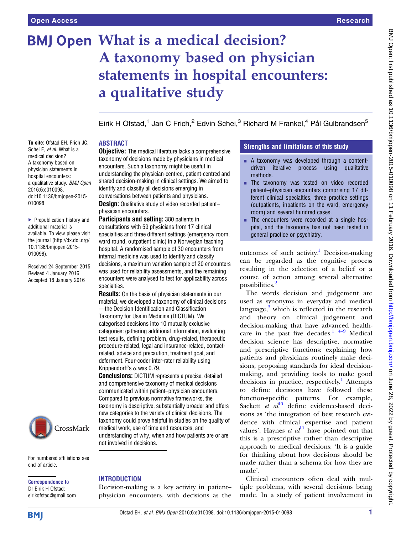# BMJ Open What is a medical decision? A taxonomy based on physician statements in hospital encounters: a qualitative study

Eirik H Ofstad,<sup>1</sup> Jan C Frich,<sup>2</sup> Edvin Schei,<sup>3</sup> Richard M Frankel,<sup>4</sup> Pål Gulbrandsen<sup>5</sup>

To cite: Ofstad EH, Frich JC, Schei E, et al. What is a medical decision? A taxonomy based on physician statements in hospital encounters: a qualitative study. BMJ Open 2016;6:e010098. doi:10.1136/bmjopen-2015- 010098

▶ Prepublication history and additional material is available. To view please visit the journal [\(http://dx.doi.org/](http://dx.doi.org/10.1136/bmjopen-2015-010098) [10.1136/bmjopen-2015-](http://dx.doi.org/10.1136/bmjopen-2015-010098) [010098\)](http://dx.doi.org/10.1136/bmjopen-2015-010098).

Received 24 September 2015 Revised 4 January 2016 Accepted 18 January 2016



For numbered affiliations see end of article.

Correspondence to Dr Eirik H Ofstad; eirikofstad@gmail.com

# ABSTRACT

**Objective:** The medical literature lacks a comprehensive taxonomy of decisions made by physicians in medical encounters. Such a taxonomy might be useful in understanding the physician-centred, patient-centred and shared decision-making in clinical settings. We aimed to identify and classify all decisions emerging in conversations between patients and physicians.

**Design:** Qualitative study of video recorded patientphysician encounters.

Participants and setting: 380 patients in consultations with 59 physicians from 17 clinical specialties and three different settings (emergency room, ward round, outpatient clinic) in a Norwegian teaching hospital. A randomised sample of 30 encounters from internal medicine was used to identify and classify decisions, a maximum variation sample of 20 encounters was used for reliability assessments, and the remaining encounters were analysed to test for applicability across specialties.

Results: On the basis of physician statements in our material, we developed a taxonomy of clinical decisions —the Decision Identification and Classification Taxonomy for Use in Medicine (DICTUM). We categorised decisions into 10 mutually exclusive categories: gathering additional information, evaluating test results, defining problem, drug-related, therapeutic procedure-related, legal and insurance-related, contactrelated, advice and precaution, treatment goal, and deferment. Four-coder inter-rater reliability using Krippendorff's  $\alpha$  was 0.79.

Conclusions: DICTUM represents a precise, detailed and comprehensive taxonomy of medical decisions communicated within patient–physician encounters. Compared to previous normative frameworks, the taxonomy is descriptive, substantially broader and offers new categories to the variety of clinical decisions. The taxonomy could prove helpful in studies on the quality of medical work, use of time and resources, and understanding of why, when and how patients are or are not involved in decisions.

## INTRODUCTION

Decision-making is a key activity in patient– physician encounters, with decisions as the

## Strengths and limitations of this study

- A taxonomy was developed through a content-<br>driven iterative process using qualitative driven iterative methods.
- The taxonomy was tested on video recorded patient–physician encounters comprising 17 different clinical specialties, three practice settings (outpatients, inpatients on the ward, emergency room) and several hundred cases.
- $\blacksquare$  The encounters were recorded at a single hospital, and the taxonomy has not been tested in general practice or psychiatry.

outcomes of such activity.<sup>1</sup> Decision-making can be regarded as the cognitive process resulting in the selection of a belief or a course of action among several alternative possibilities.<sup>[2](#page-9-0)</sup>

The words decision and judgement are used as synonyms in everyday and medical language, $3$  which is reflected in the research and theory on clinical judgement and decision-making that have adva[nced](#page-9-0) health-care in the past five decades.<sup>[1](#page-9-0)</sup>  $4-9$  Medical decision science has descriptive, normative and prescriptive functions: explaining how patients and physicians routinely make decisions, proposing standards for ideal decisionmaking, and providing tools to make good decisions in practice, respectively.<sup>[1](#page-9-0)</sup> Attempts to define decisions have followed these function-specific patterns. For example, Sackett  $et \text{ } a l^{10}$  $et \text{ } a l^{10}$  $et \text{ } a l^{10}$  define evidence-based decisions as 'the integration of best research evidence with clinical expertise and patient values'. Haynes et  $al<sup>11</sup>$  $al<sup>11</sup>$  $al<sup>11</sup>$  have pointed out that this is a prescriptive rather than descriptive approach to medical decisions: 'It is a guide for thinking about how decisions should be made rather than a schema for how they are made'.

Clinical encounters often deal with multiple problems, with several decisions being made. In a study of patient involvement in

**BMJ**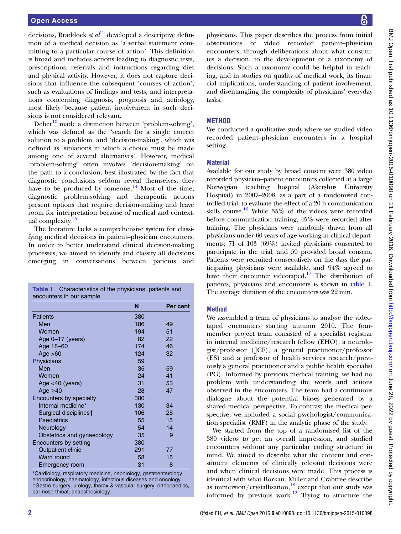decisions, Braddock et  $al<sup>12</sup>$  $al<sup>12</sup>$  $al<sup>12</sup>$  developed a descriptive definition of a medical decision as 'a verbal statement committing to a particular course of action'. This definition is broad and includes actions leading to diagnostic tests, prescriptions, referrals and instructions regarding diet and physical activity. However, it does not capture decisions that influence the subsequent 'courses of action', such as evaluations of findings and tests, and interpretations concerning diagnosis, prognosis and aetiology, most likely because patient involvement in such decisions is not considered relevant.

Deber<sup>[13](#page-9-0)</sup> made a distinction between 'problem-solving', which was defined as the 'search for a single correct solution to a problem, and 'decision-making', which was defined as 'situations in which a choice must be made among one of several alternatives'. However, medical 'problem-solving' often involves 'decision-making' on the path to a conclusion, best illustrated by the fact that diagnostic conclusions seldom reveal themselves; they have to be produced by someone.<sup>[14](#page-9-0)</sup> Most of the time, diagnostic problem-solving and therapeutic actions present options that require decision-making and leave room for interpretation because of medical and context-ual complexity.<sup>[15](#page-9-0)</sup>

The literature lacks a comprehensive system for classifying medical decisions in patient–physician encounters. In order to better understand clinical decision-making processes, we aimed to identify and classify all decisions emerging in conversations between patients and

| Characteristics of the physicians, patients and<br>Table 1<br>encounters in our sample |     |          |
|----------------------------------------------------------------------------------------|-----|----------|
|                                                                                        | N   | Per cent |
| <b>Patients</b>                                                                        | 380 |          |
| Men                                                                                    | 186 | 49       |
| Women                                                                                  | 194 | 51       |
| Age 0-17 (years)                                                                       | 82  | 22       |
| Age 18-60                                                                              | 174 | 46       |
| Age $>60$                                                                              | 124 | 32       |
| Physicians                                                                             | 59  |          |
| Men                                                                                    | 35  | 59       |
| Women                                                                                  | 24  | 41       |
| Age <40 (years)                                                                        | 31  | 53       |
| Age $\geq 40$                                                                          | 28  | 47       |
| Encounters by specialty                                                                | 380 |          |
| Internal medicine*                                                                     | 130 | 34       |
| Surgical disciplines†                                                                  | 106 | 28       |
| Paediatrics                                                                            | 55  | 15       |
| Neurology                                                                              | 54  | 14       |
| Obstetrics and gynaecology                                                             | 35  | 9        |
| Encounters by setting                                                                  | 380 |          |
| <b>Outpatient clinic</b>                                                               | 291 | 77       |
| <b>Ward round</b>                                                                      | 58  | 15       |
| Emergency room<br>*Cardiology requiredany modicine nonbrology gentropoterology         | 31  | 8        |

\*Cardiology, respiratory medicine, nephrology, gastroenterology, endocrinology, haematology, infectious diseases and oncology. †Gastro surgery, urology, thorax & vascular surgery, orthopaedics, ear-nose-throat, anaesthesiology.

physicians. This paper describes the process from initial observations of video recorded patient–physician encounters, through deliberations about what constitutes a decision, to the development of a taxonomy of decisions. Such a taxonomy could be helpful in teaching, and in studies on quality of medical work, its financial implications, understanding of patient involvement, and disentangling the complexity of physicians' everyday tasks.

## **METHOD**

We conducted a qualitative study where we studied video recorded patient–physician encounters in a hospital setting.

#### **Material**

Available for our study by broad consent were 380 video recorded physician–patient encounters collected at a large Norwegian teaching hospital (Akershus University Hospital) in 2007–2008, as a part of a randomised controlled trial, to evaluate the effect of a 20 h communication skills course.<sup>16</sup> While 55% of the videos were recorded before communication training, 45% were recorded after training. The physicians were randomly drawn from all physicians under 60 years of age working in clinical departments; 71 of 103 (69%) invited physicians consented to participate in the trial, and 59 provided broad consent. Patients were recruited consecutively on the days the participating physicians were available, and 94% agreed to have their encounter videotaped.<sup>17</sup> The distribution of patients, physicians and encounters is shown in table 1. The average duration of the encounters was 22 min.

## Method

We assembled a team of physicians to analyse the videotaped encounters starting autumn 2010. The fourmember project team consisted of a specialist registrar in internal medicine/research fellow (EHO), a neurologist/professor ( JCF), a general practitioner/professor (ES) and a professor of health services research/previously a general practitioner and a public health specialist (PG). Informed by previous medical training, we had no problem with understanding the words and actions observed in the encounters. The team had a continuous dialogue about the potential biases generated by a shared medical perspective. To contrast the medical perspective, we included a social psychologist/communication specialist (RMF) in the analytic phase of the study.

We started from the top of a randomised list of the 380 videos to get an overall impression, and studied encounters without any particular coding structure in mind. We aimed to describe what the content and constituent elements of clinically relevant decisions were and when clinical decisions were made. This process is identical with what Borkan, Miller and Crabtree describe as immersion/crystallisation,<sup>[18](#page-9-0)</sup> except that our study was informed by previous work.<sup>[12](#page-9-0)</sup> Trying to structure the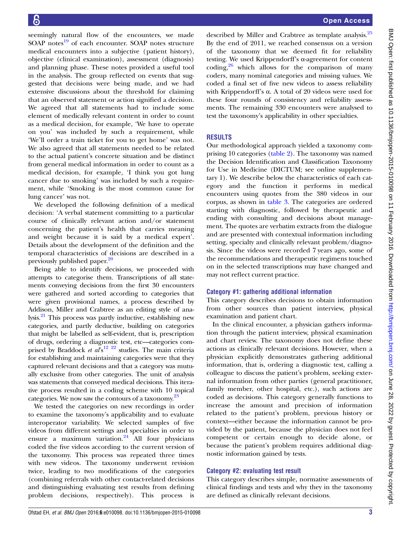seemingly natural flow of the encounters, we made SOAP notes<sup>[19](#page-9-0)</sup> of each encounter. SOAP notes structure medical encounters into a subjective (patient history), objective (clinical examination), assessment (diagnosis) and planning phase. These notes provided a useful tool in the analysis. The group reflected on events that suggested that decisions were being made, and we had extensive discussions about the threshold for claiming that an observed statement or action signified a decision. We agreed that all statements had to include some element of medically relevant content in order to count as a medical decision, for example, 'We have to operate on you' was included by such a requirement, while 'We'll order a train ticket for you to get home' was not. We also agreed that all statements needed to be related to the actual patient's concrete situation and be distinct from general medical information in order to count as a medical decision, for example, 'I think you got lung cancer due to smoking' was included by such a requirement, while 'Smoking is the most common cause for lung cancer' was not.

We developed the following definition of a medical decision: 'A verbal statement committing to a particular course of clinically relevant action and/or statement concerning the patient's health that carries meaning and weight because it is said by a medical expert'. Details about the development of the definition and the temporal characteristics of decisions are described in a previously published paper.<sup>[20](#page-9-0)</sup>

Being able to identify decisions, we proceeded with attempts to categorise them. Transcriptions of all statements conveying decisions from the first 30 encounters were gathered and sorted according to categories that were given provisional names, a process described by Addison, Miller and Crabtree as an editing style of analysis[.21](#page-9-0) This process was partly inductive, establishing new categories, and partly deductive, building on categories that might be labelled as self-evident, that is, prescription of drugs, ordering a diagnostic test, etc—categories comprised by Braddock et al<sup>es 12</sup> 2<sup>2</sup> studies. The main criteria for establishing and maintaining categories were that they captured relevant decisions and that a category was mutually exclusive from other categories. The unit of analysis was statements that conveyed medical decisions. This iterative process resulted in a coding scheme with 10 topical categories. We now saw the contours of a taxonomy.<sup>23</sup>

We tested the categories on new recordings in order to examine the taxonomy's applicability and to evaluate interoperator variability. We selected samples of five videos from different settings and specialties in order to ensure a maximum variation. $24$  All four physicians coded the five videos according to the current version of the taxonomy. This process was repeated three times with new videos. The taxonomy underwent revision twice, leading to two modifications of the categories (combining referrals with other contact-related decisions and distinguishing evaluating test results from defining problem decisions, respectively). This process is

described by Miller and Crabtree as template analysis.<sup>[25](#page-9-0)</sup> By the end of 2011, we reached consensus on a version of the taxonomy that we deemed fit for reliability testing. We used Krippendorff's α-agreement for content coding, $26$  which allows for the comparison of many coders, many nominal categories and missing values. We coded a final set of five new videos to assess reliability with Krippendorff's α. A total of 20 videos were used for these four rounds of consistency and reliability assessments. The remaining 330 encounters were analysed to test the taxonomy's applicability in other specialties.

## RESULTS

Our methodological approach yielded a taxonomy comprising 10 categories [\(table 2](#page-3-0)). The taxonomy was named the Decision Identification and Classification Taxonomy for Use in Medicine (DICTUM; see online supplementary 1). We describe below the characteristics of each category and the function it performs in medical encounters using quotes from the 380 videos in our corpus, as shown in [table 3](#page-4-0). The categories are ordered starting with diagnostic, followed by therapeutic and ending with consulting and decisions about management. The quotes are verbatim extracts from the dialogue and are presented with contextual information including setting, specialty and clinically relevant problem/diagnosis. Since the videos were recorded 7 years ago, some of the recommendations and therapeutic regimens touched on in the selected transcriptions may have changed and may not reflect current practice.

## Category #1: gathering additional information

This category describes decisions to obtain information from other sources than patient interview, physical examination and patient chart.

In the clinical encounter, a physician gathers information through the patient interview, physical examination and chart review. The taxonomy does not define these actions as clinically relevant decisions. However, when a physician explicitly demonstrates gathering additional information, that is, ordering a diagnostic test, calling a colleague to discuss the patient's problem, seeking external information from other parties (general practitioner, family member, other hospital, etc.), such actions are coded as decisions. This category generally functions to increase the amount and precision of information related to the patient's problem, previous history or context—either because the information cannot be provided by the patient, because the physician does not feel competent or certain enough to decide alone, or because the patient's problem requires additional diagnostic information gained by tests.

## Category #2: evaluating test result

This category describes simple, normative assessments of clinical findings and tests and why they in the taxonomy are defined as clinically relevant decisions.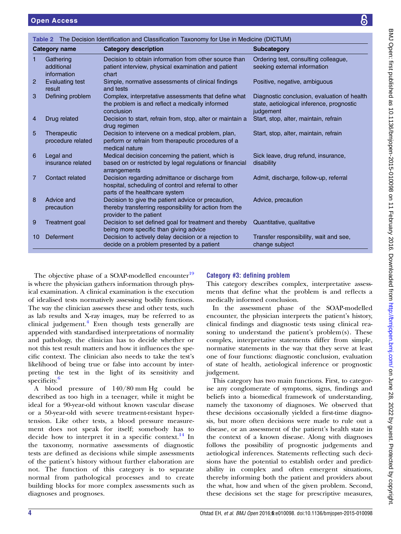precaution

<span id="page-3-0"></span>

|                | <b>Dpen Access</b>                     |                                                                                                                                            | 6                                                                                                     |
|----------------|----------------------------------------|--------------------------------------------------------------------------------------------------------------------------------------------|-------------------------------------------------------------------------------------------------------|
|                |                                        |                                                                                                                                            |                                                                                                       |
|                | Table 2                                | The Decision Identification and Classification Taxonomy for Use in Medicine (DICTUM)                                                       |                                                                                                       |
|                | Category name                          | <b>Category description</b>                                                                                                                | <b>Subcategory</b>                                                                                    |
| 1              | Gathering<br>additional<br>information | Decision to obtain information from other source than<br>patient interview, physical examination and patient<br>chart                      | Ordering test, consulting colleague,<br>seeking external information                                  |
| 2              | Evaluating test<br>result              | Simple, normative assessments of clinical findings<br>and tests                                                                            | Positive, negative, ambiguous                                                                         |
| 3              | Defining problem                       | Complex, interpretative assessments that define what<br>the problem is and reflect a medically informed<br>conclusion                      | Diagnostic conclusion, evaluation of health<br>state, aetiological inference, prognostic<br>judgement |
| 4              | Drug related                           | Decision to start, refrain from, stop, alter or maintain a<br>drug regimen                                                                 | Start, stop, alter, maintain, refrain                                                                 |
| 5              | Therapeutic<br>procedure related       | Decision to intervene on a medical problem, plan,<br>perform or refrain from therapeutic procedures of a<br>medical nature                 | Start, stop, alter, maintain, refrain                                                                 |
| 6              | Legal and<br>insurance related         | Medical decision concerning the patient, which is<br>based on or restricted by legal regulations or financial<br>arrangements              | Sick leave, drug refund, insurance,<br>disability                                                     |
| $\overline{7}$ | Contact related                        | Decision regarding admittance or discharge from<br>hospital, scheduling of control and referral to other<br>parts of the healthcare system | Admit, discharge, follow-up, referral                                                                 |
| 8              | Advice and                             | Decision to give the patient advice or precaution,                                                                                         | Advice, precaution                                                                                    |

Category #3: defining problem This category describes complex, interpretative assessments that define what the problem is and reflects a medically informed conclusion.

thereby transferring responsibility for action from the

In the assessment phase of the SOAP-modelled encounter, the physician interprets the patient's history, clinical findings and diagnostic tests using clinical reasoning to understand the patient's problem(s). These complex, interpretative statements differ from simple, normative statements in the way that they serve at least one of four functions: diagnostic conclusion, evaluation of state of health, aetiological inference or prognostic judgement.

Quantitative, qualitative

change subject

Transfer responsibility, wait and see,

This category has two main functions. First, to categorise any conglomerate of symptoms, signs, findings and beliefs into a biomedical framework of understanding, namely the taxonomy of diagnoses. We observed that these decisions occasionally yielded a first-time diagnosis, but more often decisions were made to rule out a disease, or an assessment of the patient's health state in the context of a known disease. Along with diagnoses follows the possibility of prognostic judgements and aetiological inferences. Statements reflecting such decisions have the potential to establish order and predictability in complex and often emergent situations, thereby informing both the patient and providers about the what, how and when of the given problem. Second, these decisions set the stage for prescriptive measures,

The objective phase of a SOAP-modelled encounter<sup>[19](#page-9-0)</sup> is where the physician gathers information through physical examination. A clinical examination is the execution of idealised tests normatively assessing bodily functions. The way the clinician assesses these and other tests, such as lab results and X-ray images, may be referred to as clinical judgement.[4](#page-9-0) Even though tests generally are appended with standardised interpretations of normality and pathology, the clinician has to decide whether or not this test result matters and how it influences the specific context. The clinician also needs to take the test's likelihood of being true or false into account by interpreting the test in the light of its sensitivity and specificity.<sup>[6](#page-9-0)</sup> A blood pressure of 140/80 mm Hg could be

provider to the patient

10 Deferment Decision to actively delay decision or a rejection to

9 Treatment goal Decision to set defined goal for treatment and thereby

being more specific than giving advice

decide on a problem presented by a patient

described as too high in a teenager, while it might be ideal for a 90-year-old without known vascular disease or a 50-year-old with severe treatment-resistant hypertension. Like other tests, a blood pressure measurement does not speak for itself; somebody has to decide how to interpret it in a specific context.<sup>[14](#page-9-0)</sup> In the taxonomy, normative assessments of diagnostic tests are defined as decisions while simple assessments of the patient's history without further elaboration are not. The function of this category is to separate normal from pathological processes and to create building blocks for more complex assessments such as diagnoses and prognoses.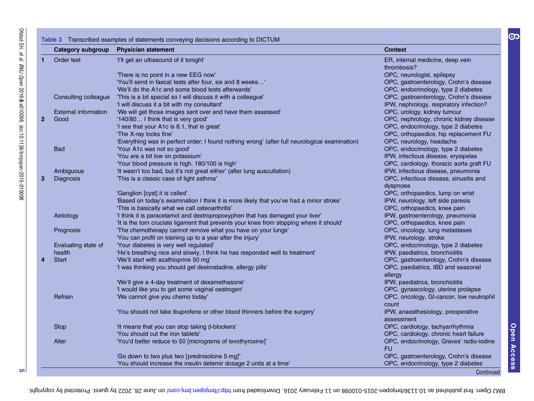<span id="page-4-0"></span>

|                | <b>Category subgroup</b>    | <b>Physician statement</b>                                                                     | <b>Context</b>                                  |
|----------------|-----------------------------|------------------------------------------------------------------------------------------------|-------------------------------------------------|
| $\mathbf 1$    | Order test                  | 'I'll get an ultrasound of it tonight'                                                         | ER, internal medicine, deep vein<br>thrombosis? |
|                |                             | 'There is no point in a new EEG now'                                                           | OPC, neurologist, epilepsy                      |
|                |                             | 'You'll send in faecal tests after four, six and 8 weeks'                                      | OPC, gastroenterology, Crohn's disease          |
|                |                             | 'We'll do the A1c and some blood tests afterwards'                                             | OPC, endocrinology, type 2 diabetes             |
|                | Consulting colleague        | 'This is a bit special so I will discuss it with a colleague'                                  | OPC, gastroenterology, Crohn's disease          |
|                |                             | 'I will discuss it a bit with my consultant'                                                   | IPW, nephrology, respiratory infection?         |
|                | <b>External information</b> | 'We will get those images sent over and have them assessed'                                    | OPC, urology, kidney tumour                     |
| $\overline{2}$ | Good                        | '140/80 I think that is very good'                                                             | OPC, nephrology, chronic kidney disease         |
|                |                             | 'I see that your A1c is 8.1, that is great'                                                    | OPC, endocrinology, type 2 diabetes             |
|                |                             | 'The X-ray looks fine'                                                                         | OPC, orthopaedics, hip replacement FU           |
|                |                             | 'Everything was in perfect order; I found nothing wrong' (after full neurological examination) | OPC, neurology, headache                        |
|                | <b>Bad</b>                  | 'Your A1c was not so good'                                                                     | OPC, endocrinology, type 2 diabetes             |
|                |                             | 'You are a bit low on potassium'                                                               | IPW, infectious disease, erysipelas             |
|                |                             | 'Your blood pressure is high. 180/100 is high'                                                 | OPC, cardiology, thoracic aorta graft FU        |
|                | Ambiguous                   | 'It wasn't too bad, but it's not great either' (after lung auscultation)                       | IPW, infectious disease, pneumonia              |
| 3              | Diagnosis                   | 'This is a classic case of light asthma'                                                       | OPC, infectious disease, sinusitis and          |
|                |                             |                                                                                                | dyspnoea                                        |
|                |                             | 'Ganglion [cyst] it is called'                                                                 | OPC, orthopaedics, lump on wrist                |
|                |                             | 'Based on today's examination I think it is more likely that you've had a minor stroke'        | IPW, neurology, left side paresis               |
|                |                             | 'This is basically what we call osteoarthritis'                                                | OPC, orthopaedics, knee pain                    |
|                | Aetiology                   | 'I think it is paracetamol and dextropropoxyphen that has damaged your liver'                  | IPW, gastroenterology, pneumonia                |
|                |                             | 'It is the torn cruciate ligament that prevents your knee from stopping where it should'       | OPC, orthopaedics, knee pain                    |
|                | Prognosis                   | 'The chemotherapy cannot remove what you have on your lungs'                                   | OPC, oncology, lung metastases                  |
|                |                             | 'You can profit on training up to a year after the injury'                                     | IPW, neurology, stroke                          |
|                | Evaluating state of         | 'Your diabetes is very well regulated'                                                         | OPC, endocrinology, type 2 diabetes             |
|                | health                      | 'He's breathing nice and slowly, I think he has responded well to treatment'                   | IPW, paediatrics, bronchiolitis                 |
| $\overline{4}$ | <b>Start</b>                | 'We'll start with azathioprine 50 mg'                                                          | OPC, gastroenterology, Crohn's disease          |
|                |                             | 'I was thinking you should get desloratadine, allergy pills'                                   | OPC, paediatrics, IBD and seasonal              |
|                |                             |                                                                                                | allergy                                         |
|                |                             | 'We'll give a 4-day treatment of dexamethasone'                                                | IPW, paediatrics, bronchiolitis                 |
|                |                             | 'I would like you to get some vaginal oestrogen'                                               | OPC, gynaecology, uterine prolapse              |
|                | Refrain                     | 'We cannot give you chemo today'                                                               | OPC, oncology, GI-cancer, low neutrophil        |
|                |                             |                                                                                                | count                                           |
|                |                             | 'You should not take ibuprofene or other blood thinners before the surgery'                    | IPW, anaesthesiology, preoperative              |
|                |                             |                                                                                                | assessment                                      |
|                | <b>Stop</b>                 | 'It means that you can stop taking ß-blockers'                                                 | OPC, cardiology, tachyarrhythmia                |
|                |                             | 'You should cut the iron tablets'                                                              | OPC, cardiology, chronic heart failure          |
|                | Alter                       | 'You'd better reduce to 50 [micrograms of levothyroxine]'                                      | OPC, endocrinology, Graves' radio-iodine        |
|                |                             |                                                                                                | FU.                                             |
|                |                             | 'Go down to two plus two [prednisolone 5 mg]"                                                  | OPC, gastroenterology, Crohn's disease          |
|                |                             | 'You should increase the insulin detemir dosage 2 units at a time'                             | OPC, endocrinology, type 2 diabetes             |

 $\sigma$ 

BMJ Open: first published as 10.11309/open-2010-01008 on 11 Februared Trand Burghed from http://bmjopad.ndvi.or as the SOS by guest. Protected by copyright.

 $\bigcirc$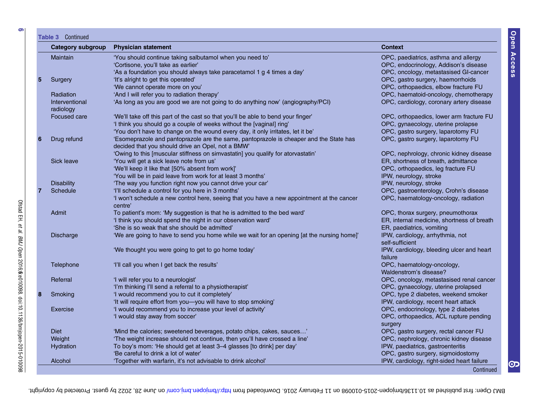| г      |
|--------|
|        |
| ٠<br>г |
|        |
| ٦      |
|        |
|        |
|        |
|        |

စာ $\overline{\mathbf{C}}$ 

6

| ıble 3 | Continued |  |
|--------|-----------|--|
|--------|-----------|--|

|                | <b>Category subgroup</b>    | <b>Physician statement</b>                                                                            | <b>Context</b>                             |
|----------------|-----------------------------|-------------------------------------------------------------------------------------------------------|--------------------------------------------|
|                | Maintain                    | 'You should continue taking salbutamol when you need to'                                              | OPC, paediatrics, asthma and allergy       |
|                |                             | 'Cortisone, you'll take as earlier'                                                                   | OPC, endocrinology, Addison's disease      |
|                |                             | 'As a foundation you should always take paracetamol 1 g 4 times a day'                                | OPC, oncology, metastasised GI-cancer      |
| 5              | Surgery                     | 'It's alright to get this operated'                                                                   | OPC, gastro surgery, haemorrhoids          |
|                |                             | 'We cannot operate more on you'                                                                       | OPC, orthopaedics, elbow fracture FU       |
|                | Radiation                   | 'And I will refer you to radiation therapy'                                                           | OPC, haematoid-oncology, chemotherapy      |
|                | Interventional<br>radiology | 'As long as you are good we are not going to do anything now' (angiography/PCI)                       | OPC, cardiology, coronary artery disease   |
|                | Focused care                | 'We'll take off this part of the cast so that you'll be able to bend your finger'                     | OPC, orthopaedics, lower arm fracture FU   |
|                |                             | 'I think you should go a couple of weeks without the [vaginal] ring'                                  | OPC, gynaecology, uterine prolapse         |
|                |                             | 'You don't have to change on the wound every day, it only irritates, let it be'                       | OPC, gastro surgery, laparotomy FU         |
| 6              | Drug refund                 | 'Esomeprazole and pantoprazole are the same, pantoprazole is cheaper and the State has                | OPC, gastro surgery, laparotomy FU         |
|                |                             | decided that you should drive an Opel, not a BMW'                                                     |                                            |
|                |                             | 'Owing to this [muscular stiffness on simvastatin] you qualify for atorvastatin'                      | OPC, nephrology, chronic kidney disease    |
|                | Sick leave                  | 'You will get a sick leave note from us'                                                              | ER, shortness of breath, admittance        |
|                |                             | 'We'll keep it like that [50% absent from work]'                                                      | OPC, orthopaedics, leg fracture FU         |
|                |                             | 'You will be in paid leave from work for at least 3 months'                                           | IPW, neurology, stroke                     |
|                | <b>Disability</b>           | 'The way you function right now you cannot drive your car'                                            | IPW, neurology, stroke                     |
| $\overline{7}$ | Schedule                    | 'I'll schedule a control for you here in 3 months'                                                    | OPC, gastroenterology, Crohn's disease     |
|                |                             | 'I won't schedule a new control here, seeing that you have a new appointment at the cancer<br>centre' | OPC, haematology-oncology, radiation       |
|                | Admit                       | To patient's mom: 'My suggestion is that he is admitted to the bed ward'                              | OPC, thorax surgery, pneumothorax          |
|                |                             | 'I think you should spend the night in our observation ward'                                          | ER, internal medicine, shortness of breath |
|                |                             | 'She is so weak that she should be admitted'                                                          | ER, paediatrics, vomiting                  |
|                | <b>Discharge</b>            | 'We are going to have to send you home while we wait for an opening [at the nursing home]'            | IPW, cardiology, arrhythmia, not           |
|                |                             |                                                                                                       | self-sufficient                            |
|                |                             | 'We thought you were going to get to go home today'                                                   | IPW, cardiology, bleeding ulcer and heart  |
|                |                             |                                                                                                       | failure                                    |
|                | Telephone                   | 'I'll call you when I get back the results'                                                           | OPC, haematology-oncology,                 |
|                |                             |                                                                                                       | Waldenstrom's disease?                     |
|                | Referral                    | 'I will refer you to a neurologist'                                                                   | OPC, oncology, metastasised renal cancer   |
|                |                             | 'I'm thinking I'll send a referral to a physiotherapist'                                              | OPC, gynaecology, uterine prolapsed        |
| 8              | Smoking                     | 'I would recommend you to cut it completely'                                                          | OPC, type 2 diabetes, weekend smoker       |
|                |                             | 'It will require effort from you-you will have to stop smoking'                                       | IPW, cardiology, recent heart attack       |
|                | Exercise                    | 'I would recommend you to increase your level of activity'                                            | OPC, endocrinology, type 2 diabetes        |
|                |                             | 'I would stay away from soccer'                                                                       | OPC, orthopaedics, ACL rupture pending     |
|                |                             |                                                                                                       | surgery                                    |
|                | <b>Diet</b>                 | 'Mind the calories; sweetened beverages, potato chips, cakes, sauces'                                 | OPC, gastro surgery, rectal cancer FU      |
|                | Weight                      | 'The weight increase should not continue, then you'll have crossed a line'                            | OPC, nephrology, chronic kidney disease    |
|                | Hydration                   | To boy's mom: 'He should get at least 3-4 glasses [to drink] per day'                                 | IPW, paediatrics, gastroenteritis          |
|                |                             | 'Be careful to drink a lot of water'                                                                  | OPC, gastro surgery, sigmoidostomy         |
|                | Alcohol                     | 'Together with warfarin, it's not advisable to drink alcohol'                                         | IPW, cardiology, right-sided heart failure |
|                |                             |                                                                                                       | Continued                                  |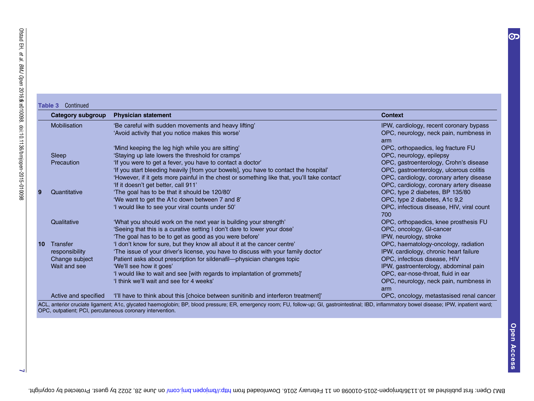$\overline{\phantom{0}}$ 

|    | <b>Category subgroup</b> | <b>Physician statement</b>                                                                  | <b>Context</b>                                |
|----|--------------------------|---------------------------------------------------------------------------------------------|-----------------------------------------------|
|    | Mobilisation             | 'Be careful with sudden movements and heavy lifting'                                        | IPW, cardiology, recent coronary bypass       |
|    |                          | 'Avoid activity that you notice makes this worse'                                           | OPC, neurology, neck pain, numbness in<br>arm |
|    |                          | 'Mind keeping the leg high while you are sitting'                                           | OPC, orthopaedics, leg fracture FU            |
|    | Sleep                    | 'Staying up late lowers the threshold for cramps'                                           | OPC, neurology, epilepsy                      |
|    | Precaution               | 'If you were to get a fever, you have to contact a doctor'                                  | OPC, gastroenterology, Crohn's disease        |
|    |                          | 'If you start bleeding heavily [from your bowels], you have to contact the hospital'        | OPC, gastroenterology, ulcerous colitis       |
|    |                          | 'However, if it gets more painful in the chest or something like that, you'll take contact' | OPC, cardiology, coronary artery disease      |
|    |                          | 'If it doesn't get better, call 911'                                                        | OPC, cardiology, coronary artery disease      |
|    | Quantitative             | 'The goal has to be that it should be 120/80'                                               | OPC, type 2 diabetes, BP 135/80               |
|    |                          | 'We want to get the A1c down between 7 and 8'                                               | OPC, type 2 diabetes, A1c 9,2                 |
|    |                          | 'I would like to see your viral counts under 50'                                            | OPC, infectious disease, HIV, viral count     |
|    |                          |                                                                                             | 700                                           |
|    | Qualitative              | 'What you should work on the next year is building your strength'                           | OPC, orthopaedics, knee prosthesis FU         |
|    |                          | 'Seeing that this is a curative setting I don't dare to lower your dose'                    | OPC, oncology, GI-cancer                      |
|    |                          | 'The goal has to be to get as good as you were before'                                      | IPW, neurology, stroke                        |
| 10 | Transfer                 | 'I don't know for sure, but they know all about it at the cancer centre'                    | OPC, haematology-oncology, radiation          |
|    | responsibility           | 'The issue of your driver's license, you have to discuss with your family doctor'           | IPW, cardiology, chronic heart failure        |
|    | Change subject           | Patient asks about prescription for sildenafil-physician changes topic                      | OPC, infectious disease, HIV                  |
|    | Wait and see             | 'We'll see how it goes'                                                                     | IPW, gastroenterology, abdominal pain         |
|    |                          | 'I would like to wait and see [with regards to implantation of grommets]'                   | OPC, ear-nose-throat, fluid in ear            |
|    |                          | 'I think we'll wait and see for 4 weeks'                                                    | OPC, neurology, neck pain, numbness in        |
|    |                          |                                                                                             | arm                                           |
|    | Active and specified     | 'I'll have to think about this [choice between sunitinib and interferon treatment]'         | OPC, oncology, metastasised renal cancer      |

ACL, anterior cruciate ligament; A1c, glycated haemoglobin; BP, blood pressure; ER, emergency room; FU, follow-up; GI, gastrointestinal; IBD, inflammatory bowel disease; IPW, inpatient ward; OPC, outpatient; PCI, percutaneous coronary intervention.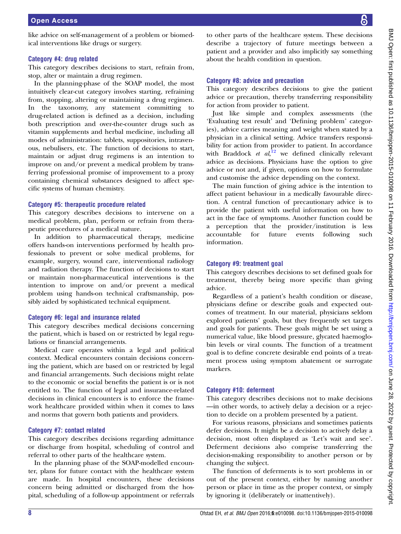like advice on self-management of a problem or biomedical interventions like drugs or surgery.

#### Category #4: drug related

This category describes decisions to start, refrain from, stop, alter or maintain a drug regimen.

In the planning-phase of the SOAP model, the most intuitively clear-cut category involves starting, refraining from, stopping, altering or maintaining a drug regimen. In the taxonomy, any statement committing to drug-related action is defined as a decision, including both prescription and over-the-counter drugs such as vitamin supplements and herbal medicine, including all modes of administration: tablets, suppositories, intravenous, nebulisers, etc. The function of decisions to start, maintain or adjust drug regimens is an intention to improve on and/or prevent a medical problem by transferring professional promise of improvement to a proxy containing chemical substances designed to affect specific systems of human chemistry.

#### Category #5: therapeutic procedure related

This category describes decisions to intervene on a medical problem, plan, perform or refrain from therapeutic procedures of a medical nature.

In addition to pharmaceutical therapy, medicine offers hands-on interventions performed by health professionals to prevent or solve medical problems, for example, surgery, wound care, interventional radiology and radiation therapy. The function of decisions to start or maintain non-pharmaceutical interventions is the intention to improve on and/or prevent a medical problem using hands-on technical craftsmanship, possibly aided by sophisticated technical equipment.

## Category #6: legal and insurance related

This category describes medical decisions concerning the patient, which is based on or restricted by legal regulations or financial arrangements.

Medical care operates within a legal and political context. Medical encounters contain decisions concerning the patient, which are based on or restricted by legal and financial arrangements. Such decisions might relate to the economic or social benefits the patient is or is not entitled to. The function of legal and insurance-related decisions in clinical encounters is to enforce the framework healthcare provided within when it comes to laws and norms that govern both patients and providers.

#### Category #7: contact related

This category describes decisions regarding admittance or discharge from hospital, scheduling of control and referral to other parts of the healthcare system.

In the planning phase of the SOAP-modelled encounter, plans for future contact with the healthcare system are made. In hospital encounters, these decisions concern being admitted or discharged from the hospital, scheduling of a follow-up appointment or referrals

to other parts of the healthcare system. These decisions describe a trajectory of future meetings between a patient and a provider and also implicitly say something about the health condition in question.

#### Category #8: advice and precaution

This category describes decisions to give the patient advice or precaution, thereby transferring responsibility for action from provider to patient.

Just like simple and complex assessments (the 'Evaluating test result' and 'Defining problem' categories), advice carries meaning and weight when stated by a physician in a clinical setting. Advice transfers responsibility for action from provider to patient. In accordance with Braddock et  $al$ ,  $\frac{12}{2}$  $\frac{12}{2}$  $\frac{12}{2}$  we defined clinically relevant advice as decisions. Physicians have the option to give advice or not and, if given, options on how to formulate and customise the advice depending on the context.

The main function of giving advice is the intention to affect patient behaviour in a medically favourable direction. A central function of precautionary advice is to provide the patient with useful information on how to act in the face of symptoms. Another function could be a perception that the provider/institution is less accountable for future events following such information.

#### Category #9: treatment goal

This category describes decisions to set defined goals for treatment, thereby being more specific than giving advice.

Regardless of a patient's health condition or disease, physicians define or describe goals and expected outcomes of treatment. In our material, physicians seldom explored patients' goals, but they frequently set targets and goals for patients. These goals might be set using a numerical value, like blood pressure, glycated haemoglobin levels or viral counts. The function of a treatment goal is to define concrete desirable end points of a treatment process using symptom abatement or surrogate markers.

#### Category #10: deferment

This category describes decisions not to make decisions —in other words, to actively delay a decision or a rejection to decide on a problem presented by a patient.

For various reasons, physicians and sometimes patients defer decisions. It might be a decision to actively delay a decision, most often displayed as 'Let's wait and see'. Deferment decisions also comprise transferring the decision-making responsibility to another person or by changing the subject.

The function of deferments is to sort problems in or out of the present context, either by naming another person or place in time as the proper context, or simply by ignoring it (deliberately or inattentively).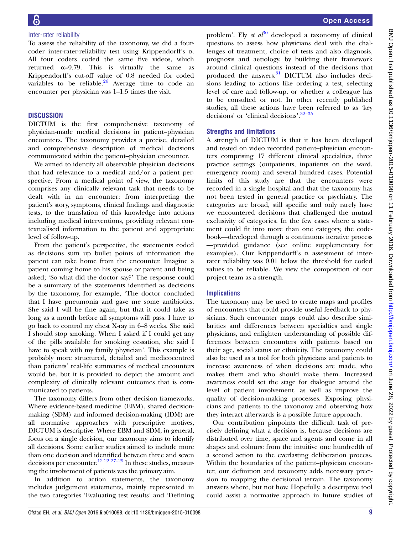## Inter-rater reliability

To assess the reliability of the taxonomy, we did a fourcoder inter-rater-reliability test using Krippendorff's α. All four coders coded the same five videos, which returned  $\alpha=0.79$ . This is virtually the same as Krippendorff's cut-off value of 0.8 needed for coded variables to be reliable. $26$  Average time to code an encounter per physician was 1–1.5 times the visit.

#### **DISCUSSION**

DICTUM is the first comprehensive taxonomy of physician-made medical decisions in patient–physician encounters. The taxonomy provides a precise, detailed and comprehensive description of medical decisions communicated within the patient–physician encounter.

We aimed to identify all observable physician decisions that had relevance to a medical and/or a patient perspective. From a medical point of view, the taxonomy comprises any clinically relevant task that needs to be dealt with in an encounter: from interpreting the patient's story, symptoms, clinical findings and diagnostic tests, to the translation of this knowledge into actions including medical interventions, providing relevant contextualised information to the patient and appropriate level of follow-up.

From the patient's perspective, the statements coded as decisions sum up bullet points of information the patient can take home from the encounter. Imagine a patient coming home to his spouse or parent and being asked; 'So what did the doctor say?' The response could be a summary of the statements identified as decisions by the taxonomy, for example, 'The doctor concluded that I have pneumonia and gave me some antibiotics. She said I will be fine again, but that it could take as long as a month before all symptoms will pass. I have to go back to control my chest X-ray in 6–8 weeks. She said I should stop smoking. When I asked if I could get any of the pills available for smoking cessation, she said I have to speak with my family physician'. This example is probably more structured, detailed and medicocentred than patients' real-life summaries of medical encounters would be, but it is provided to depict the amount and complexity of clinically relevant outcomes that is communicated to patients.

The taxonomy differs from other decision frameworks. Where evidence-based medicine (EBM), shared decisionmaking (SDM) and informed decision-making (IDM) are all normative approaches with prescriptive motives, DICTUM is descriptive. Where EBM and SDM, in general, focus on a single decision, our taxonomy aims to identify all decisions. Some earlier studies aimed to include more than one decision and identified between three and seven decisions per encounter.<sup>[12 22 27](#page-9-0)–29</sup> In these studies, measuring the involvement of patients was the primary aim.

In addition to action statements, the taxonomy includes judgement statements, mainly represented in the two categories 'Evaluating test results' and 'Defining

problem'. Ely et  $a^{30}$  $a^{30}$  $a^{30}$  developed a taxonomy of clinical questions to assess how physicians deal with the challenges of treatment, choice of tests and also diagnosis, prognosis and aetiology, by building their framework around clinical questions instead of the decisions that produced the answers.<sup>[31](#page-9-0)</sup> DICTUM also includes decisions leading to actions like ordering a test, selecting level of care and follow-up, or whether a colleague has to be consulted or not. In other recently published studies, all these actions have been referred to as 'key decisions' or 'clinical decisions'. 32–[35](#page-9-0)

## Strengths and limitations

A strength of DICTUM is that it has been developed and tested on video recorded patient–physician encounters comprising 17 different clinical specialties, three practice settings (outpatients, inpatients on the ward, emergency room) and several hundred cases. Potential limits of this study are that the encounters were recorded in a single hospital and that the taxonomy has not been tested in general practice or psychiatry. The categories are broad, still specific and only rarely have we encountered decisions that challenged the mutual exclusivity of categories. In the few cases where a statement could fit into more than one category, the codebook—developed through a continuous iterative process —provided guidance (see online supplementary for examples). Our Krippendorff's α assessment of interrater reliability was 0.01 below the threshold for coded values to be reliable. We view the composition of our project team as a strength.

#### **Implications**

The taxonomy may be used to create maps and profiles of encounters that could provide useful feedback to physicians. Such encounter maps could also describe similarities and differences between specialties and single physicians, and enlighten understanding of possible differences between encounters with patients based on their age, social status or ethnicity. The taxonomy could also be used as a tool for both physicians and patients to increase awareness of when decisions are made, who makes them and who should make them. Increased awareness could set the stage for dialogue around the level of patient involvement, as well as improve the quality of decision-making processes. Exposing physicians and patients to the taxonomy and observing how they interact afterwards is a possible future approach.

Our contribution pinpoints the difficult task of precisely defining what a decision is, because decisions are distributed over time, space and agents and come in all shapes and colours: from the intuitive one hundredth of a second action to the everlasting deliberation process. Within the boundaries of the patient–physician encounter, our definition and taxonomy adds necessary precision to mapping the decisional terrain. The taxonomy answers where, but not how. Hopefully, a descriptive tool could assist a normative approach in future studies of